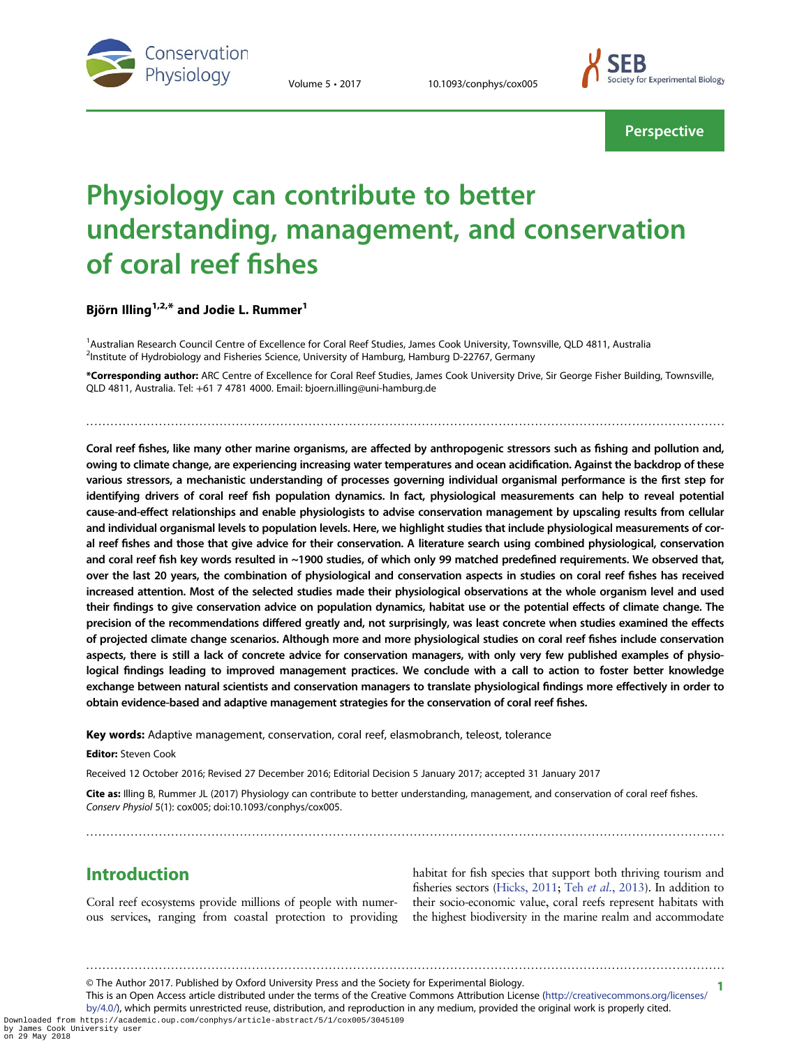



**Perspective** 

# Physiology can contribute to better understanding, management, and conservation of coral reef fishes

Björn Illing<sup>1,2,\*</sup> and Jodie L. Rummer<sup>1</sup>

<sup>1</sup>Australian Research Council Centre of Excellence for Coral Reef Studies, James Cook University, Townsville, QLD 4811, Australia <sup>2</sup>Institute of Hydrobiology and Fisheries Science, University of Hamburg, Hamburg D-22767, Germany

\*Corresponding author: ARC Centre of Excellence for Coral Reef Studies, James Cook University Drive, Sir George Fisher Building, Townsville, QLD 4811, Australia. Tel: +61 7 4781 4000. Email: bjoern.illing@uni-hamburg.de

..............................................................................................................................................................

Coral reef fishes, like many other marine organisms, are affected by anthropogenic stressors such as fishing and pollution and, owing to climate change, are experiencing increasing water temperatures and ocean acidification. Against the backdrop of these various stressors, a mechanistic understanding of processes governing individual organismal performance is the first step for identifying drivers of coral reef fish population dynamics. In fact, physiological measurements can help to reveal potential cause-and-effect relationships and enable physiologists to advise conservation management by upscaling results from cellular and individual organismal levels to population levels. Here, we highlight studies that include physiological measurements of coral reef fishes and those that give advice for their conservation. A literature search using combined physiological, conservation and coral reef fish key words resulted in ~1900 studies, of which only 99 matched predefined requirements. We observed that, over the last 20 years, the combination of physiological and conservation aspects in studies on coral reef fishes has received increased attention. Most of the selected studies made their physiological observations at the whole organism level and used their findings to give conservation advice on population dynamics, habitat use or the potential effects of climate change. The precision of the recommendations differed greatly and, not surprisingly, was least concrete when studies examined the effects of projected climate change scenarios. Although more and more physiological studies on coral reef fishes include conservation aspects, there is still a lack of concrete advice for conservation managers, with only very few published examples of physiological findings leading to improved management practices. We conclude with a call to action to foster better knowledge exchange between natural scientists and conservation managers to translate physiological findings more effectively in order to obtain evidence-based and adaptive management strategies for the conservation of coral reef fishes.

Key words: Adaptive management, conservation, coral reef, elasmobranch, teleost, tolerance

Editor: Steven Cook

Received 12 October 2016; Revised 27 December 2016; Editorial Decision 5 January 2017; accepted 31 January 2017

Cite as: Illing B, Rummer JL (2017) Physiology can contribute to better understanding, management, and conservation of coral reef fishes. Conserv Physiol 5(1): cox005; doi:10.1093/conphys/cox005.

..............................................................................................................................................................

## Introduction

Coral reef ecosystems provide millions of people with numerous services, ranging from coastal protection to providing

habitat for fish species that support both thriving tourism and fisheries sectors [\(Hicks, 2011](#page-9-0); Teh et al.[, 2013\)](#page-10-0). In addition to their socio-economic value, coral reefs represent habitats with the highest biodiversity in the marine realm and accommodate

1 © The Author 2017. Published by Oxford University Press and the Society for Experimental Biology.

This is an Open Access article distributed under the terms of the Creative Commons Attribution License [\(http://creativecommons.org/licenses/](http://creativecommons.org/licenses/by/4.0/) [by/4.0/](http://creativecommons.org/licenses/by/4.0/)), which permits unrestricted reuse, distribution, and reproduction in any medium, provided the original work is properly cited.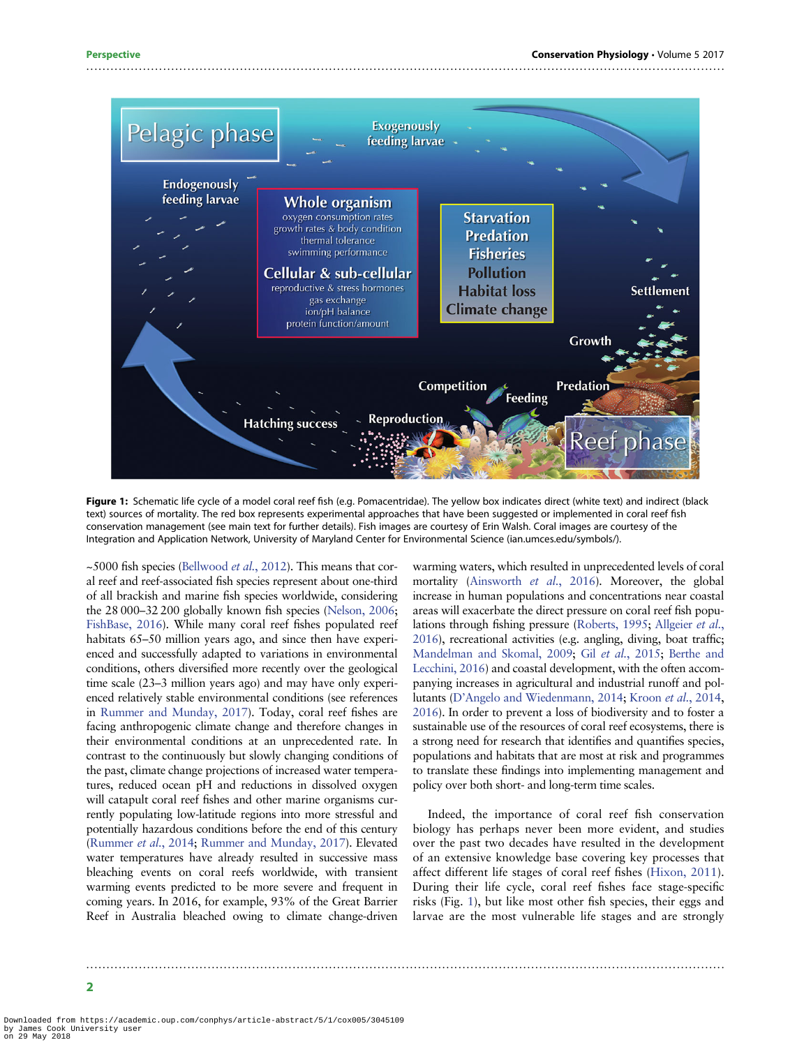<span id="page-1-0"></span>

Figure 1: Schematic life cycle of a model coral reef fish (e.g. Pomacentridae). The yellow box indicates direct (white text) and indirect (black text) sources of mortality. The red box represents experimental approaches that have been suggested or implemented in coral reef fish conservation management (see main text for further details). Fish images are courtesy of Erin Walsh. Coral images are courtesy of the Integration and Application Network, University of Maryland Center for Environmental Science (ian.umces.edu/symbols/).

..............................................................................................................................................................

 $\sim$  5000 fish species [\(Bellwood](#page-7-0) *et al.*, 2012). This means that coral reef and reef-associated fish species represent about one-third of all brackish and marine fish species worldwide, considering the 28 000–32 200 globally known fish species [\(Nelson, 2006](#page-9-0); [FishBase, 2016\)](#page-8-0). While many coral reef fishes populated reef habitats 65–50 million years ago, and since then have experienced and successfully adapted to variations in environmental conditions, others diversified more recently over the geological time scale (23–3 million years ago) and may have only experienced relatively stable environmental conditions (see references in [Rummer and Munday, 2017](#page-9-0)). Today, coral reef fishes are facing anthropogenic climate change and therefore changes in their environmental conditions at an unprecedented rate. In contrast to the continuously but slowly changing conditions of the past, climate change projections of increased water temperatures, reduced ocean pH and reductions in dissolved oxygen will catapult coral reef fishes and other marine organisms currently populating low-latitude regions into more stressful and potentially hazardous conditions before the end of this century [\(Rummer](#page-9-0) et al., 2014; [Rummer and Munday, 2017\)](#page-9-0). Elevated water temperatures have already resulted in successive mass bleaching events on coral reefs worldwide, with transient warming events predicted to be more severe and frequent in coming years. In 2016, for example, 93% of the Great Barrier Reef in Australia bleached owing to climate change-driven

warming waters, which resulted in unprecedented levels of coral mortality [\(Ainsworth](#page-7-0) et al., 2016). Moreover, the global increase in human populations and concentrations near coastal areas will exacerbate the direct pressure on coral reef fish populations through fishing pressure ([Roberts, 1995](#page-9-0); [Allgeier](#page-7-0) et al., [2016](#page-7-0)), recreational activities (e.g. angling, diving, boat traffic; [Mandelman and Skomal, 2009](#page-9-0); Gil et al.[, 2015;](#page-8-0) [Berthe and](#page-8-0) [Lecchini, 2016](#page-8-0)) and coastal development, with the often accompanying increases in agricultural and industrial runoff and pollutants (D'[Angelo and Wiedenmann, 2014;](#page-8-0) Kroon et al.[, 2014,](#page-9-0) [2016](#page-9-0)). In order to prevent a loss of biodiversity and to foster a sustainable use of the resources of coral reef ecosystems, there is a strong need for research that identifies and quantifies species, populations and habitats that are most at risk and programmes to translate these findings into implementing management and policy over both short- and long-term time scales.

Indeed, the importance of coral reef fish conservation biology has perhaps never been more evident, and studies over the past two decades have resulted in the development of an extensive knowledge base covering key processes that affect different life stages of coral reef fishes [\(Hixon, 2011\)](#page-9-0). During their life cycle, coral reef fishes face stage-specific risks (Fig. 1), but like most other fish species, their eggs and larvae are the most vulnerable life stages and are strongly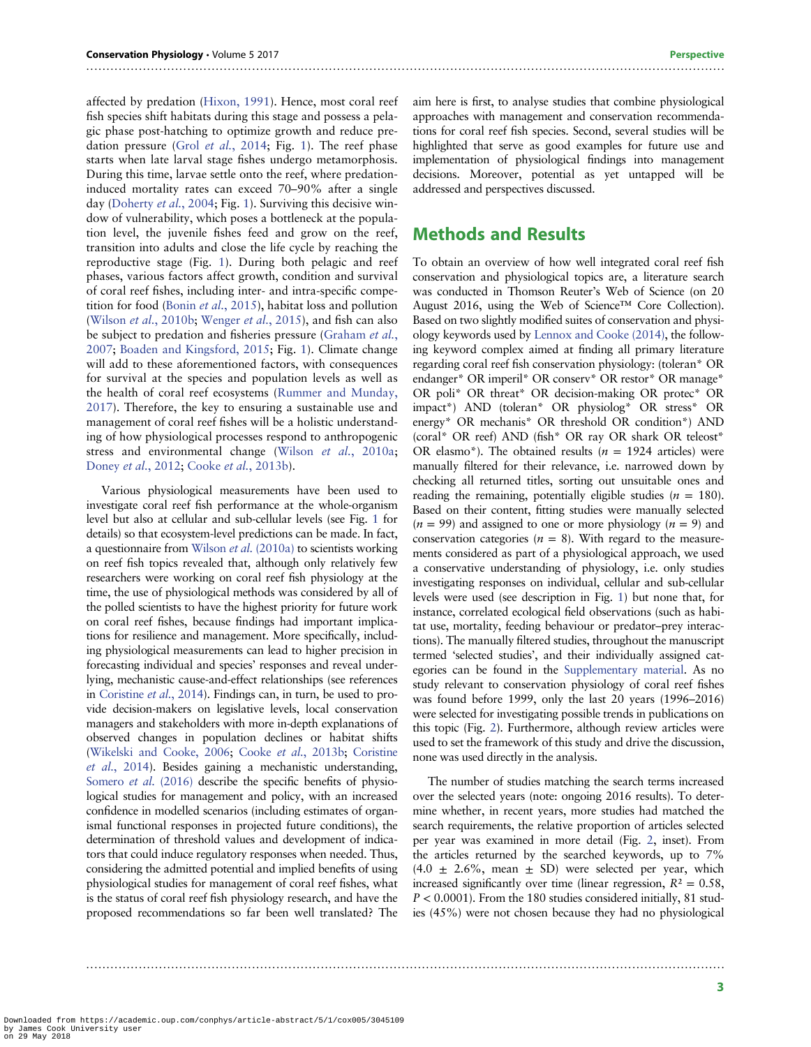affected by predation ([Hixon, 1991\)](#page-9-0). Hence, most coral reef fish species shift habitats during this stage and possess a pelagic phase post-hatching to optimize growth and reduce predation pressure (Grol et al.[, 2014;](#page-8-0) Fig. [1\)](#page-1-0). The reef phase starts when late larval stage fishes undergo metamorphosis. During this time, larvae settle onto the reef, where predationinduced mortality rates can exceed 70–90% after a single day [\(Doherty](#page-8-0) et al., 2004; Fig. [1\)](#page-1-0). Surviving this decisive window of vulnerability, which poses a bottleneck at the population level, the juvenile fishes feed and grow on the reef, transition into adults and close the life cycle by reaching the reproductive stage (Fig. [1\)](#page-1-0). During both pelagic and reef phases, various factors affect growth, condition and survival of coral reef fishes, including inter- and intra-specific competition for food (Bonin et al.[, 2015](#page-8-0)), habitat loss and pollution (Wilson *et al.*[, 2010b;](#page-10-0) [Wenger](#page-10-0) *et al.*, 2015), and fish can also be subject to predation and fisheries pressure ([Graham](#page-8-0) et al., [2007](#page-8-0); [Boaden and Kingsford, 2015;](#page-8-0) Fig. [1\)](#page-1-0). Climate change will add to these aforementioned factors, with consequences for survival at the species and population levels as well as the health of coral reef ecosystems ([Rummer and Munday,](#page-9-0) [2017](#page-9-0)). Therefore, the key to ensuring a sustainable use and management of coral reef fishes will be a holistic understanding of how physiological processes respond to anthropogenic stress and environmental change (Wilson et al.[, 2010a](#page-10-0); [Doney](#page-8-0) et al., 2012; Cooke et al.[, 2013b\)](#page-8-0).

Various physiological measurements have been used to investigate coral reef fish performance at the whole-organism level but also at cellular and sub-cellular levels (see Fig. [1](#page-1-0) for details) so that ecosystem-level predictions can be made. In fact, a questionnaire from Wilson et al. [\(2010a\)](#page-10-0) to scientists working on reef fish topics revealed that, although only relatively few researchers were working on coral reef fish physiology at the time, the use of physiological methods was considered by all of the polled scientists to have the highest priority for future work on coral reef fishes, because findings had important implications for resilience and management. More specifically, including physiological measurements can lead to higher precision in forecasting individual and species' responses and reveal underlying, mechanistic cause-and-effect relationships (see references in [Coristine](#page-8-0) et al., 2014). Findings can, in turn, be used to provide decision-makers on legislative levels, local conservation managers and stakeholders with more in-depth explanations of observed changes in population declines or habitat shifts [\(Wikelski and Cooke, 2006;](#page-10-0) Cooke et al.[, 2013b;](#page-8-0) [Coristine](#page-8-0) et al.[, 2014\)](#page-8-0). Besides gaining a mechanistic understanding, [Somero](#page-9-0) *et al.* (2016) describe the specific benefits of physiological studies for management and policy, with an increased confidence in modelled scenarios (including estimates of organismal functional responses in projected future conditions), the determination of threshold values and development of indicators that could induce regulatory responses when needed. Thus, considering the admitted potential and implied benefits of using physiological studies for management of coral reef fishes, what is the status of coral reef fish physiology research, and have the proposed recommendations so far been well translated? The

aim here is first, to analyse studies that combine physiological approaches with management and conservation recommendations for coral reef fish species. Second, several studies will be highlighted that serve as good examples for future use and implementation of physiological findings into management decisions. Moreover, potential as yet untapped will be addressed and perspectives discussed.

#### Methods and Results

..............................................................................................................................................................

To obtain an overview of how well integrated coral reef fish conservation and physiological topics are, a literature search was conducted in Thomson Reuter's Web of Science (on 20 August 2016, using the Web of Science™ Core Collection). Based on two slightly modified suites of conservation and physiology keywords used by [Lennox and Cooke \(2014\)](#page-9-0), the following keyword complex aimed at finding all primary literature regarding coral reef fish conservation physiology: (toleran\* OR endanger\* OR imperil\* OR conserv\* OR restor\* OR manage\* OR poli\* OR threat\* OR decision-making OR protec\* OR impact\*) AND (toleran\* OR physiolog\* OR stress\* OR energy\* OR mechanis\* OR threshold OR condition\*) AND (coral\* OR reef) AND (fish\* OR ray OR shark OR teleost\* OR elasmo\*). The obtained results ( $n = 1924$  articles) were manually filtered for their relevance, i.e. narrowed down by checking all returned titles, sorting out unsuitable ones and reading the remaining, potentially eligible studies  $(n = 180)$ . Based on their content, fitting studies were manually selected  $(n = 99)$  and assigned to one or more physiology  $(n = 9)$  and conservation categories ( $n = 8$ ). With regard to the measurements considered as part of a physiological approach, we used a conservative understanding of physiology, i.e. only studies investigating responses on individual, cellular and sub-cellular levels were used (see description in Fig. [1](#page-1-0)) but none that, for instance, correlated ecological field observations (such as habitat use, mortality, feeding behaviour or predator–prey interactions). The manually filtered studies, throughout the manuscript termed 'selected studies', and their individually assigned categories can be found in the [Supplementary material](http://conphys.oxfordjournals.org/lookup/suppl/doi:10.1093/conphys/cox005/-/DC1). As no study relevant to conservation physiology of coral reef fishes was found before 1999, only the last 20 years (1996–2016) were selected for investigating possible trends in publications on this topic (Fig. [2\)](#page-3-0). Furthermore, although review articles were used to set the framework of this study and drive the discussion, none was used directly in the analysis.

The number of studies matching the search terms increased over the selected years (note: ongoing 2016 results). To determine whether, in recent years, more studies had matched the search requirements, the relative proportion of articles selected per year was examined in more detail (Fig. [2,](#page-3-0) inset). From the articles returned by the searched keywords, up to 7%  $(4.0 \pm 2.6\%, \text{ mean } \pm \text{ SD})$  were selected per year, which increased significantly over time (linear regression,  $R^2 = 0.58$ ,  $P < 0.0001$ ). From the 180 studies considered initially, 81 studies (45%) were not chosen because they had no physiological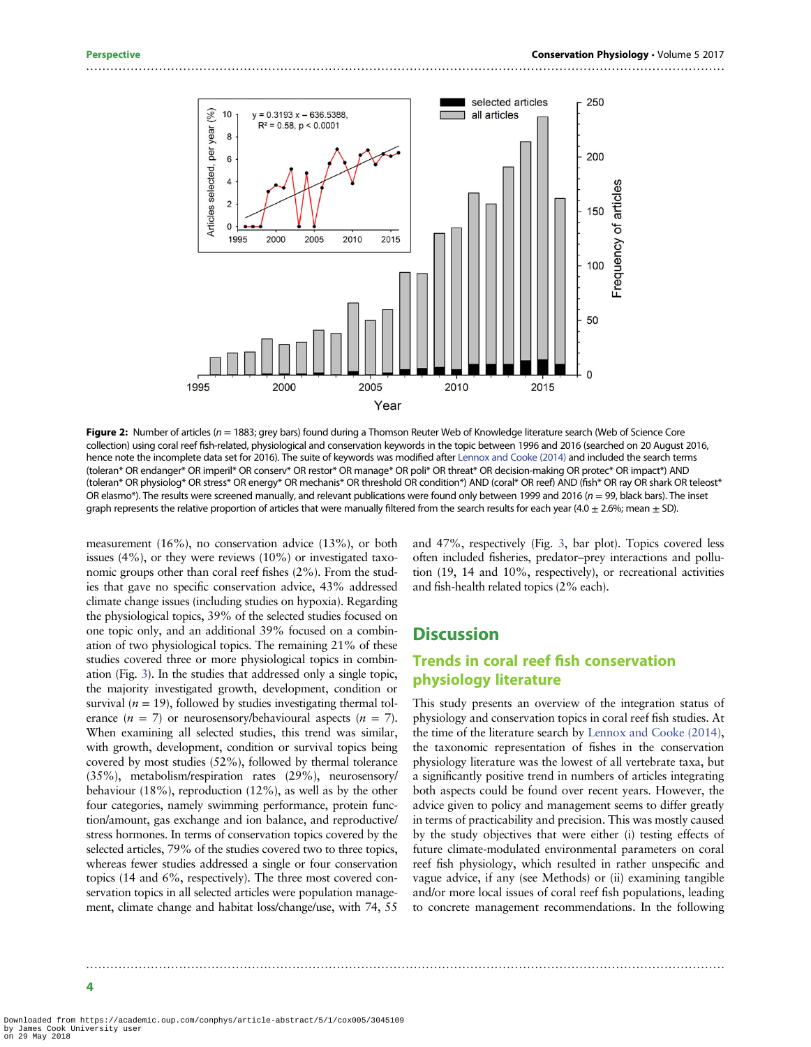<span id="page-3-0"></span>

Figure 2: Number of articles ( $n = 1883$ ; grey bars) found during a Thomson Reuter Web of Knowledge literature search (Web of Science Core collection) using coral reef fish-related, physiological and conservation keywords in the topic between 1996 and 2016 (searched on 20 August 2016, hence note the incomplete data set for 2016). The suite of keywords was modified after [Lennox and Cooke \(2014\)](#page-9-0) and included the search terms (toleran\* OR endanger\* OR imperil\* OR conserv\* OR restor\* OR manage\* OR poli\* OR threat\* OR decision-making OR protec\* OR impact\*) AND (toleran\* OR physiolog\* OR stress\* OR energy\* OR mechanis\* OR threshold OR condition\*) AND (coral\* OR reef) AND (fish\* OR ray OR shark OR teleost\* OR elasmo\*). The results were screened manually, and relevant publications were found only between 1999 and 2016 ( $n = 99$ , black bars). The inset graph represents the relative proportion of articles that were manually filtered from the search results for each year (4.0  $\pm$  2.6%; mean  $\pm$  SD).

..............................................................................................................................................................

measurement (16%), no conservation advice (13%), or both issues  $(4\%)$ , or they were reviews  $(10\%)$  or investigated taxonomic groups other than coral reef fishes (2%). From the studies that gave no specific conservation advice, 43% addressed climate change issues (including studies on hypoxia). Regarding the physiological topics, 39% of the selected studies focused on one topic only, and an additional 39% focused on a combination of two physiological topics. The remaining 21% of these studies covered three or more physiological topics in combination (Fig. [3](#page-4-0)). In the studies that addressed only a single topic, the majority investigated growth, development, condition or survival ( $n = 19$ ), followed by studies investigating thermal tolerance  $(n = 7)$  or neurosensory/behavioural aspects  $(n = 7)$ . When examining all selected studies, this trend was similar, with growth, development, condition or survival topics being covered by most studies (52%), followed by thermal tolerance (35%), metabolism/respiration rates (29%), neurosensory/ behaviour (18%), reproduction (12%), as well as by the other four categories, namely swimming performance, protein function/amount, gas exchange and ion balance, and reproductive/ stress hormones. In terms of conservation topics covered by the selected articles, 79% of the studies covered two to three topics, whereas fewer studies addressed a single or four conservation topics (14 and 6%, respectively). The three most covered conservation topics in all selected articles were population management, climate change and habitat loss/change/use, with 74, 55

and 47%, respectively (Fig. [3](#page-4-0), bar plot). Topics covered less often included fisheries, predator–prey interactions and pollution (19, 14 and 10%, respectively), or recreational activities and fish-health related topics (2% each).

#### **Discussion**

#### Trends in coral reef fish conservation physiology literature

This study presents an overview of the integration status of physiology and conservation topics in coral reef fish studies. At the time of the literature search by [Lennox and Cooke \(2014\),](#page-9-0) the taxonomic representation of fishes in the conservation physiology literature was the lowest of all vertebrate taxa, but a significantly positive trend in numbers of articles integrating both aspects could be found over recent years. However, the advice given to policy and management seems to differ greatly in terms of practicability and precision. This was mostly caused by the study objectives that were either (i) testing effects of future climate-modulated environmental parameters on coral reef fish physiology, which resulted in rather unspecific and vague advice, if any (see Methods) or (ii) examining tangible and/or more local issues of coral reef fish populations, leading to concrete management recommendations. In the following

Downloaded from https://academic.oup.com/conphys/article-abstract/5/1/cox005/3045109 by James Cook University user on 29 May 2018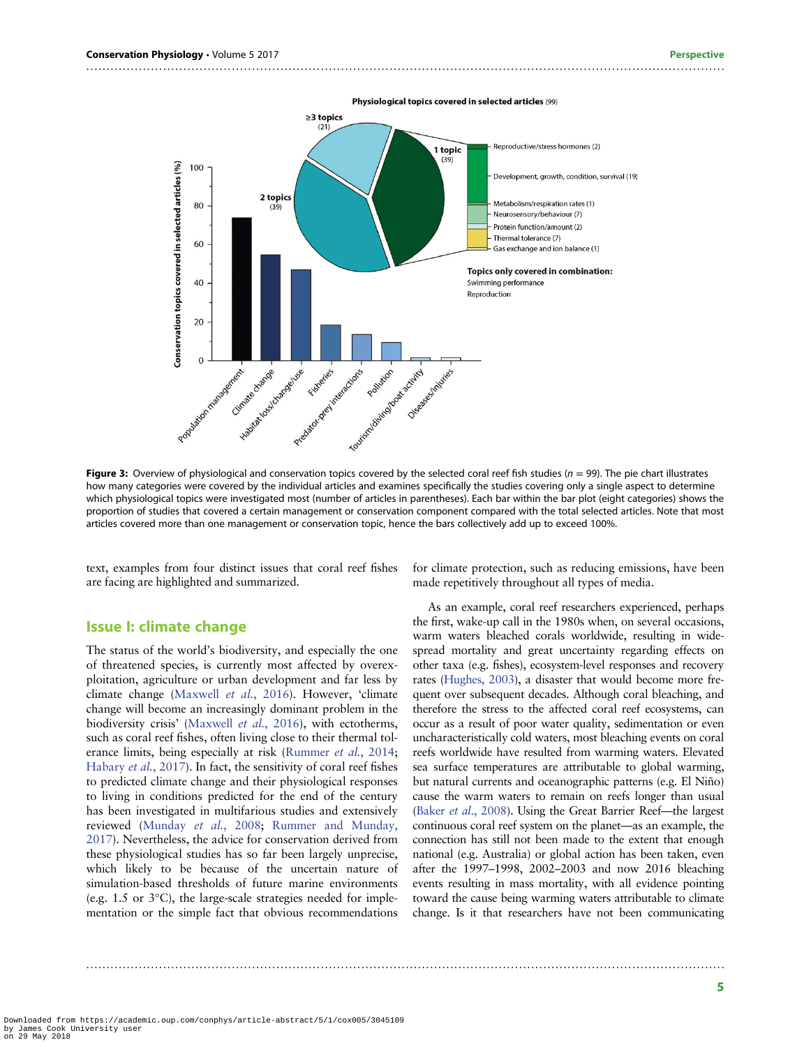<span id="page-4-0"></span>

Physiological topics covered in selected articles (99)

Figure 3: Overview of physiological and conservation topics covered by the selected coral reef fish studies ( $n = 99$ ). The pie chart illustrates how many categories were covered by the individual articles and examines specifically the studies covering only a single aspect to determine which physiological topics were investigated most (number of articles in parentheses). Each bar within the bar plot (eight categories) shows the proportion of studies that covered a certain management or conservation component compared with the total selected articles. Note that most articles covered more than one management or conservation topic, hence the bars collectively add up to exceed 100%.

..............................................................................................................................................................

text, examples from four distinct issues that coral reef fishes are facing are highlighted and summarized.

#### Issue I: climate change

The status of the world's biodiversity, and especially the one of threatened species, is currently most affected by overexploitation, agriculture or urban development and far less by climate change ([Maxwell](#page-9-0) et al., 2016). However, 'climate change will become an increasingly dominant problem in the biodiversity crisis' ([Maxwell](#page-9-0) et al., 2016), with ectotherms, such as coral reef fishes, often living close to their thermal tolerance limits, being especially at risk ([Rummer](#page-9-0) et al., 2014; [Habary](#page-9-0) et al., 2017). In fact, the sensitivity of coral reef fishes to predicted climate change and their physiological responses to living in conditions predicted for the end of the century has been investigated in multifarious studies and extensively reviewed ([Munday](#page-9-0) et al., 2008; [Rummer and Munday,](#page-9-0) [2017\)](#page-9-0). Nevertheless, the advice for conservation derived from these physiological studies has so far been largely unprecise, which likely to be because of the uncertain nature of simulation-based thresholds of future marine environments (e.g. 1.5 or 3°C), the large-scale strategies needed for implementation or the simple fact that obvious recommendations

for climate protection, such as reducing emissions, have been made repetitively throughout all types of media.

As an example, coral reef researchers experienced, perhaps the first, wake-up call in the 1980s when, on several occasions, warm waters bleached corals worldwide, resulting in widespread mortality and great uncertainty regarding effects on other taxa (e.g. fishes), ecosystem-level responses and recovery rates [\(Hughes, 2003\)](#page-9-0), a disaster that would become more frequent over subsequent decades. Although coral bleaching, and therefore the stress to the affected coral reef ecosystems, can occur as a result of poor water quality, sedimentation or even uncharacteristically cold waters, most bleaching events on coral reefs worldwide have resulted from warming waters. Elevated sea surface temperatures are attributable to global warming, but natural currents and oceanographic patterns (e.g. El Niño) cause the warm waters to remain on reefs longer than usual (Baker et al.[, 2008\)](#page-7-0). Using the Great Barrier Reef—the largest continuous coral reef system on the planet—as an example, the connection has still not been made to the extent that enough national (e.g. Australia) or global action has been taken, even after the 1997–1998, 2002–2003 and now 2016 bleaching events resulting in mass mortality, with all evidence pointing toward the cause being warming waters attributable to climate change. Is it that researchers have not been communicating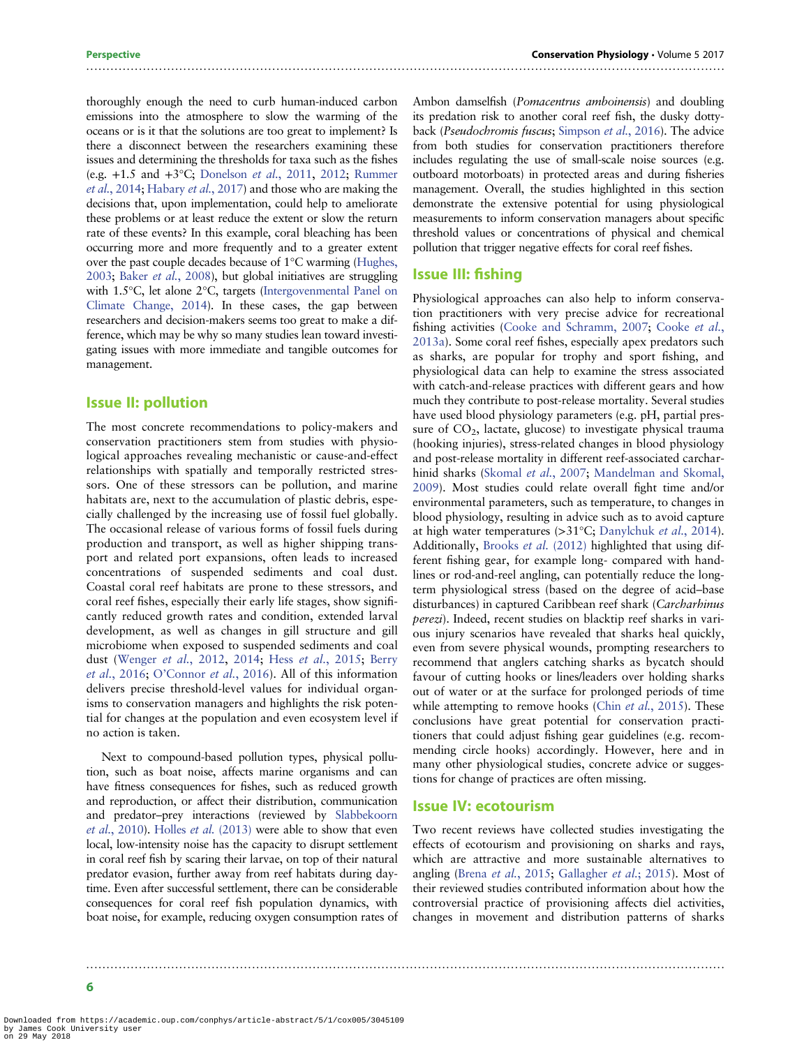thoroughly enough the need to curb human-induced carbon emissions into the atmosphere to slow the warming of the oceans or is it that the solutions are too great to implement? Is there a disconnect between the researchers examining these issues and determining the thresholds for taxa such as the fishes (e.g. +1.5 and +3°C; [Donelson](#page-8-0) et al., 2011, [2012](#page-8-0); [Rummer](#page-9-0) et al.[, 2014;](#page-9-0) [Habary](#page-9-0) et al., 2017) and those who are making the decisions that, upon implementation, could help to ameliorate these problems or at least reduce the extent or slow the return rate of these events? In this example, coral bleaching has been occurring more and more frequently and to a greater extent over the past couple decades because of 1°C warming ([Hughes,](#page-9-0) [2003](#page-9-0); Baker et al.[, 2008](#page-7-0)), but global initiatives are struggling with 1.5°C, let alone 2°C, targets [\(Intergovenmental Panel on](#page-9-0) [Climate Change, 2014](#page-9-0)). In these cases, the gap between researchers and decision-makers seems too great to make a difference, which may be why so many studies lean toward investigating issues with more immediate and tangible outcomes for management.

#### Issue II: pollution

The most concrete recommendations to policy-makers and conservation practitioners stem from studies with physiological approaches revealing mechanistic or cause-and-effect relationships with spatially and temporally restricted stressors. One of these stressors can be pollution, and marine habitats are, next to the accumulation of plastic debris, especially challenged by the increasing use of fossil fuel globally. The occasional release of various forms of fossil fuels during production and transport, as well as higher shipping transport and related port expansions, often leads to increased concentrations of suspended sediments and coal dust. Coastal coral reef habitats are prone to these stressors, and coral reef fishes, especially their early life stages, show significantly reduced growth rates and condition, extended larval development, as well as changes in gill structure and gill microbiome when exposed to suspended sediments and coal dust ([Wenger](#page-10-0) et al., 2012, [2014](#page-10-0); Hess et al.[, 2015;](#page-9-0) [Berry](#page-8-0) et al.[, 2016](#page-8-0); O'[Connor](#page-9-0) et al., 2016). All of this information delivers precise threshold-level values for individual organisms to conservation managers and highlights the risk potential for changes at the population and even ecosystem level if no action is taken.

Next to compound-based pollution types, physical pollution, such as boat noise, affects marine organisms and can have fitness consequences for fishes, such as reduced growth and reproduction, or affect their distribution, communication and predator–prey interactions (reviewed by [Slabbekoorn](#page-9-0) et al.[, 2010](#page-9-0)). Holles et al. [\(2013\)](#page-9-0) were able to show that even local, low-intensity noise has the capacity to disrupt settlement in coral reef fish by scaring their larvae, on top of their natural predator evasion, further away from reef habitats during daytime. Even after successful settlement, there can be considerable consequences for coral reef fish population dynamics, with boat noise, for example, reducing oxygen consumption rates of Ambon damselfish (Pomacentrus amboinensis) and doubling its predation risk to another coral reef fish, the dusky dottyback (Pseudochromis fuscus; [Simpson](#page-9-0) et al., 2016). The advice from both studies for conservation practitioners therefore includes regulating the use of small-scale noise sources (e.g. outboard motorboats) in protected areas and during fisheries management. Overall, the studies highlighted in this section demonstrate the extensive potential for using physiological measurements to inform conservation managers about specific threshold values or concentrations of physical and chemical pollution that trigger negative effects for coral reef fishes.

#### Issue III: fishing

..............................................................................................................................................................

Physiological approaches can also help to inform conservation practitioners with very precise advice for recreational fishing activities [\(Cooke and Schramm, 2007](#page-8-0); [Cooke](#page-8-0) et al., [2013a\)](#page-8-0). Some coral reef fishes, especially apex predators such as sharks, are popular for trophy and sport fishing, and physiological data can help to examine the stress associated with catch-and-release practices with different gears and how much they contribute to post-release mortality. Several studies have used blood physiology parameters (e.g. pH, partial pressure of  $CO<sub>2</sub>$ , lactate, glucose) to investigate physical trauma (hooking injuries), stress-related changes in blood physiology and post-release mortality in different reef-associated carchar-hinid sharks ([Skomal](#page-9-0) et al., 2007; [Mandelman and Skomal,](#page-9-0) [2009](#page-9-0)). Most studies could relate overall fight time and/or environmental parameters, such as temperature, to changes in blood physiology, resulting in advice such as to avoid capture at high water temperatures (>31°C; [Danylchuk](#page-8-0) et al., 2014). Additionally, [Brooks](#page-8-0) et al. (2012) highlighted that using different fishing gear, for example long- compared with handlines or rod-and-reel angling, can potentially reduce the longterm physiological stress (based on the degree of acid–base disturbances) in captured Caribbean reef shark (Carcharhinus perezi). Indeed, recent studies on blacktip reef sharks in various injury scenarios have revealed that sharks heal quickly, even from severe physical wounds, prompting researchers to recommend that anglers catching sharks as bycatch should favour of cutting hooks or lines/leaders over holding sharks out of water or at the surface for prolonged periods of time while attempting to remove hooks (Chin et al.[, 2015\)](#page-8-0). These conclusions have great potential for conservation practitioners that could adjust fishing gear guidelines (e.g. recommending circle hooks) accordingly. However, here and in many other physiological studies, concrete advice or suggestions for change of practices are often missing.

#### Issue IV: ecotourism

..............................................................................................................................................................

Two recent reviews have collected studies investigating the effects of ecotourism and provisioning on sharks and rays, which are attractive and more sustainable alternatives to angling (Brena et al.[, 2015](#page-8-0); [Gallagher](#page-8-0) et al.; 2015). Most of their reviewed studies contributed information about how the controversial practice of provisioning affects diel activities, changes in movement and distribution patterns of sharks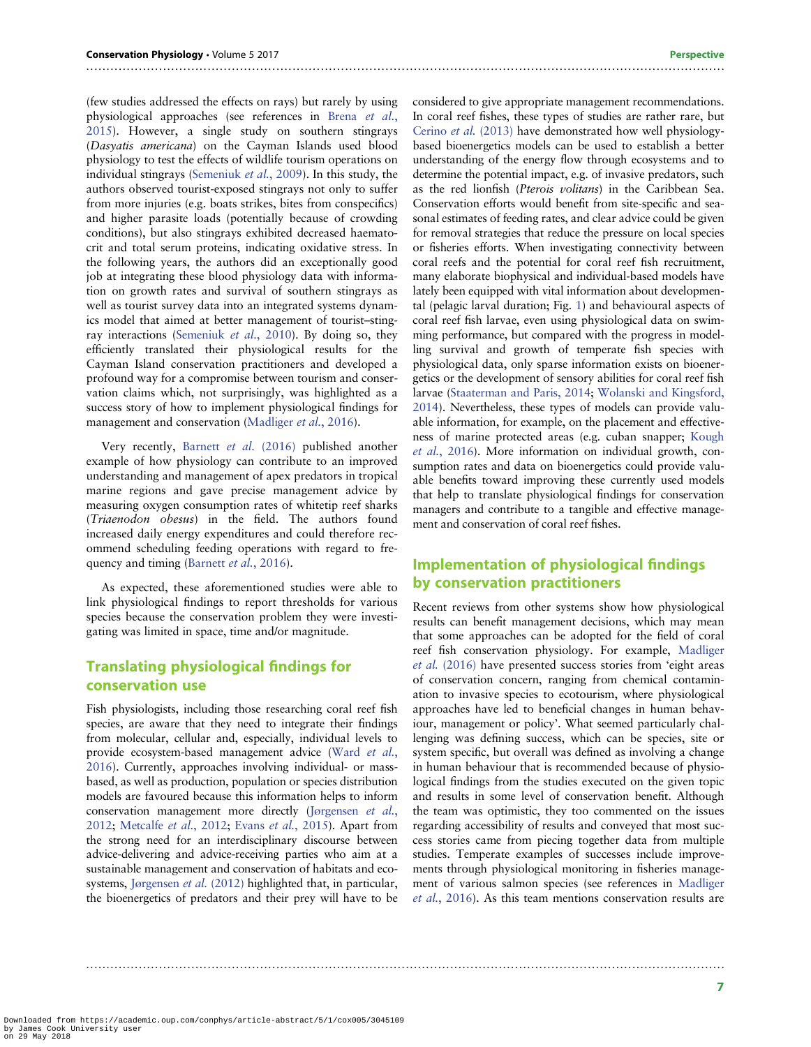(few studies addressed the effects on rays) but rarely by using physiological approaches (see references in Brena [et al.](#page-8-0), [2015\)](#page-8-0). However, a single study on southern stingrays (Dasyatis americana) on the Cayman Islands used blood physiology to test the effects of wildlife tourism operations on individual stingrays [\(Semeniuk](#page-9-0) et al., 2009). In this study, the authors observed tourist-exposed stingrays not only to suffer from more injuries (e.g. boats strikes, bites from conspecifics) and higher parasite loads (potentially because of crowding conditions), but also stingrays exhibited decreased haematocrit and total serum proteins, indicating oxidative stress. In the following years, the authors did an exceptionally good job at integrating these blood physiology data with information on growth rates and survival of southern stingrays as well as tourist survey data into an integrated systems dynamics model that aimed at better management of tourist–sting-ray interactions [\(Semeniuk](#page-9-0) et al., 2010). By doing so, they efficiently translated their physiological results for the Cayman Island conservation practitioners and developed a profound way for a compromise between tourism and conservation claims which, not surprisingly, was highlighted as a success story of how to implement physiological findings for management and conservation ([Madliger](#page-9-0) et al., 2016).

Very recently, [Barnett](#page-7-0) et al. (2016) published another example of how physiology can contribute to an improved understanding and management of apex predators in tropical marine regions and gave precise management advice by measuring oxygen consumption rates of whitetip reef sharks (Triaenodon obesus) in the field. The authors found increased daily energy expenditures and could therefore recommend scheduling feeding operations with regard to fre-quency and timing ([Barnett](#page-7-0) et al., 2016).

As expected, these aforementioned studies were able to link physiological findings to report thresholds for various species because the conservation problem they were investigating was limited in space, time and/or magnitude.

#### Translating physiological findings for conservation use

Fish physiologists, including those researching coral reef fish species, are aware that they need to integrate their findings from molecular, cellular and, especially, individual levels to provide ecosystem-based management advice ([Ward](#page-10-0) et al., [2016\)](#page-10-0). Currently, approaches involving individual- or massbased, as well as production, population or species distribution models are favoured because this information helps to inform conservation management more directly [\(Jørgensen](#page-9-0) et al., [2012;](#page-9-0) [Metcalfe](#page-9-0) et al., 2012; Evans et al.[, 2015\)](#page-8-0). Apart from the strong need for an interdisciplinary discourse between advice-delivering and advice-receiving parties who aim at a sustainable management and conservation of habitats and eco-systems, [Jørgensen](#page-9-0) et al. (2012) highlighted that, in particular, the bioenergetics of predators and their prey will have to be

..............................................................................................................................................................

..............................................................................................................................................................

considered to give appropriate management recommendations. In coral reef fishes, these types of studies are rather rare, but [Cerino](#page-8-0) et al. (2013) have demonstrated how well physiologybased bioenergetics models can be used to establish a better understanding of the energy flow through ecosystems and to determine the potential impact, e.g. of invasive predators, such as the red lionfish (Pterois volitans) in the Caribbean Sea. Conservation efforts would benefit from site-specific and seasonal estimates of feeding rates, and clear advice could be given for removal strategies that reduce the pressure on local species or fisheries efforts. When investigating connectivity between coral reefs and the potential for coral reef fish recruitment, many elaborate biophysical and individual-based models have lately been equipped with vital information about developmental (pelagic larval duration; Fig. [1\)](#page-1-0) and behavioural aspects of coral reef fish larvae, even using physiological data on swimming performance, but compared with the progress in modelling survival and growth of temperate fish species with physiological data, only sparse information exists on bioenergetics or the development of sensory abilities for coral reef fish larvae [\(Staaterman and Paris, 2014](#page-9-0); [Wolanski and Kingsford,](#page-10-0) [2014](#page-10-0)). Nevertheless, these types of models can provide valuable information, for example, on the placement and effectiveness of marine protected areas (e.g. cuban snapper; [Kough](#page-9-0) et al.[, 2016\)](#page-9-0). More information on individual growth, consumption rates and data on bioenergetics could provide valuable benefits toward improving these currently used models that help to translate physiological findings for conservation managers and contribute to a tangible and effective management and conservation of coral reef fishes.

#### Implementation of physiological findings by conservation practitioners

Recent reviews from other systems show how physiological results can benefit management decisions, which may mean that some approaches can be adopted for the field of coral reef fish conservation physiology. For example, [Madliger](#page-9-0) et al. [\(2016\)](#page-9-0) have presented success stories from 'eight areas of conservation concern, ranging from chemical contamination to invasive species to ecotourism, where physiological approaches have led to beneficial changes in human behaviour, management or policy'. What seemed particularly challenging was defining success, which can be species, site or system specific, but overall was defined as involving a change in human behaviour that is recommended because of physiological findings from the studies executed on the given topic and results in some level of conservation benefit. Although the team was optimistic, they too commented on the issues regarding accessibility of results and conveyed that most success stories came from piecing together data from multiple studies. Temperate examples of successes include improvements through physiological monitoring in fisheries management of various salmon species (see references in [Madliger](#page-9-0) et al.[, 2016\)](#page-9-0). As this team mentions conservation results are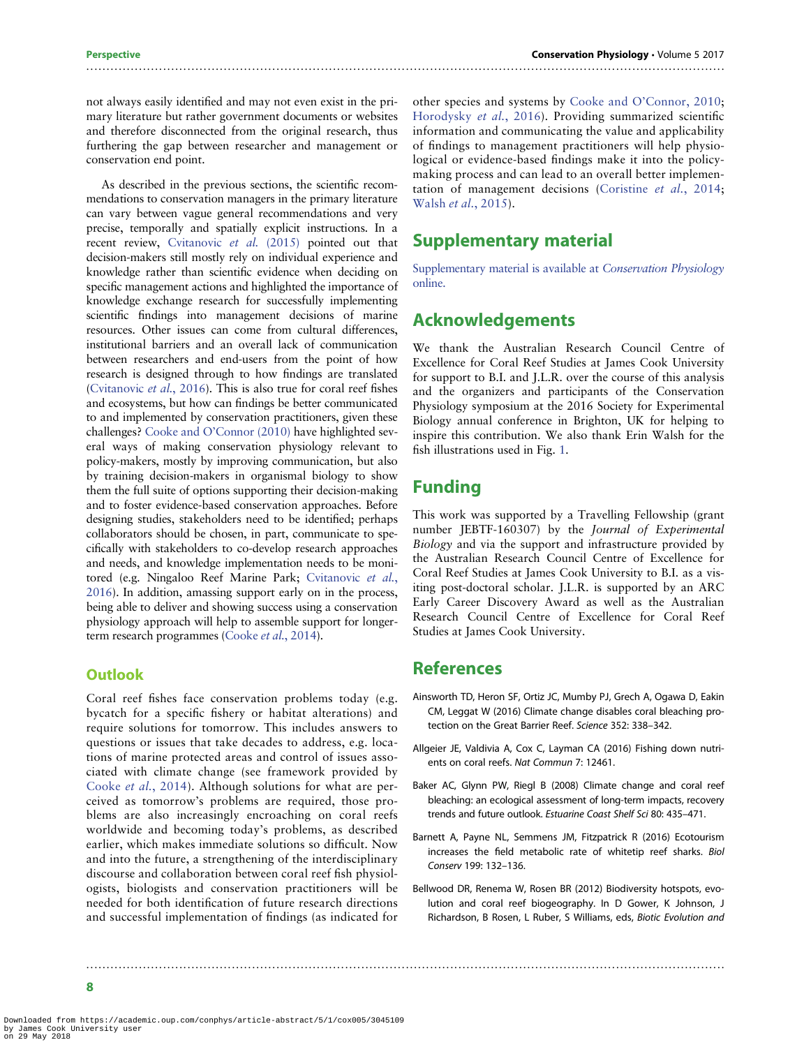As described in the previous sections, the scientific recommendations to conservation managers in the primary literature can vary between vague general recommendations and very precise, temporally and spatially explicit instructions. In a recent review, [Cvitanovic](#page-8-0) et al. (2015) pointed out that decision-makers still mostly rely on individual experience and knowledge rather than scientific evidence when deciding on specific management actions and highlighted the importance of knowledge exchange research for successfully implementing scientific findings into management decisions of marine resources. Other issues can come from cultural differences, institutional barriers and an overall lack of communication between researchers and end-users from the point of how research is designed through to how findings are translated [\(Cvitanovic](#page-8-0) et al., 2016). This is also true for coral reef fishes and ecosystems, but how can findings be better communicated to and implemented by conservation practitioners, given these challenges? Cooke and O'[Connor \(2010\)](#page-8-0) have highlighted several ways of making conservation physiology relevant to policy-makers, mostly by improving communication, but also by training decision-makers in organismal biology to show them the full suite of options supporting their decision-making and to foster evidence-based conservation approaches. Before designing studies, stakeholders need to be identified; perhaps collaborators should be chosen, in part, communicate to specifically with stakeholders to co-develop research approaches and needs, and knowledge implementation needs to be monitored (e.g. Ningaloo Reef Marine Park; [Cvitanovic](#page-8-0) et al., [2016\)](#page-8-0). In addition, amassing support early on in the process, being able to deliver and showing success using a conservation physiology approach will help to assemble support for longerterm research programmes [\(Cooke](#page-8-0) et al., 2014).

#### **Outlook**

Coral reef fishes face conservation problems today (e.g. bycatch for a specific fishery or habitat alterations) and require solutions for tomorrow. This includes answers to questions or issues that take decades to address, e.g. locations of marine protected areas and control of issues associated with climate change (see framework provided by Cooke et al.[, 2014](#page-8-0)). Although solutions for what are perceived as tomorrow's problems are required, those problems are also increasingly encroaching on coral reefs worldwide and becoming today's problems, as described earlier, which makes immediate solutions so difficult. Now and into the future, a strengthening of the interdisciplinary discourse and collaboration between coral reef fish physiologists, biologists and conservation practitioners will be needed for both identification of future research directions and successful implementation of findings (as indicated for

other species and systems by Cooke and O'[Connor, 2010;](#page-8-0) [Horodysky](#page-9-0) et al., 2016). Providing summarized scientific information and communicating the value and applicability of findings to management practitioners will help physiological or evidence-based findings make it into the policymaking process and can lead to an overall better implementation of management decisions ([Coristine](#page-8-0) et al., 2014; Walsh et al.[, 2015\)](#page-10-0).

#### Supplementary material

[Supplementary material is available at](http://conphys.oxfordjournals.org/lookup/suppl/doi:10.1093/conphys/cox005/-/DC1) Conservation Physiology [online.](http://conphys.oxfordjournals.org/lookup/suppl/doi:10.1093/conphys/cox005/-/DC1)

## Acknowledgements

We thank the Australian Research Council Centre of Excellence for Coral Reef Studies at James Cook University for support to B.I. and J.L.R. over the course of this analysis and the organizers and participants of the Conservation Physiology symposium at the 2016 Society for Experimental Biology annual conference in Brighton, UK for helping to inspire this contribution. We also thank Erin Walsh for the fish illustrations used in Fig. [1](#page-1-0).

#### Funding

<span id="page-7-0"></span>..............................................................................................................................................................

This work was supported by a Travelling Fellowship (grant number JEBTF-160307) by the Journal of Experimental Biology and via the support and infrastructure provided by the Australian Research Council Centre of Excellence for Coral Reef Studies at James Cook University to B.I. as a visiting post-doctoral scholar. J.L.R. is supported by an ARC Early Career Discovery Award as well as the Australian Research Council Centre of Excellence for Coral Reef Studies at James Cook University.

#### References

..............................................................................................................................................................

- Ainsworth TD, Heron SF, Ortiz JC, Mumby PJ, Grech A, Ogawa D, Eakin CM, Leggat W (2016) Climate change disables coral bleaching protection on the Great Barrier Reef. Science 352: 338–342.
- Allgeier JE, Valdivia A, Cox C, Layman CA (2016) Fishing down nutrients on coral reefs. Nat Commun 7: 12461.
- Baker AC, Glynn PW, Riegl B (2008) Climate change and coral reef bleaching: an ecological assessment of long-term impacts, recovery trends and future outlook. Estuarine Coast Shelf Sci 80: 435–471.
- Barnett A, Payne NL, Semmens JM, Fitzpatrick R (2016) Ecotourism increases the field metabolic rate of whitetip reef sharks. Biol Conserv 199: 132–136.
- Bellwood DR, Renema W, Rosen BR (2012) Biodiversity hotspots, evolution and coral reef biogeography. In D Gower, K Johnson, J Richardson, B Rosen, L Ruber, S Williams, eds, Biotic Evolution and

8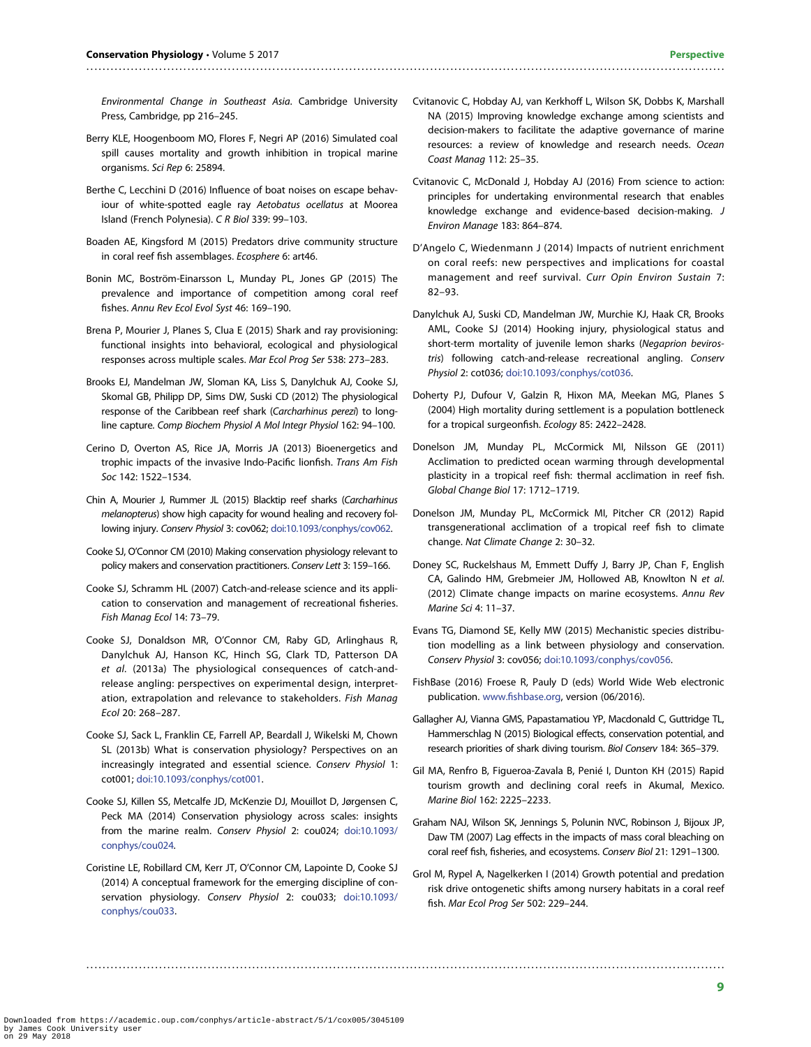Environmental Change in Southeast Asia. Cambridge University Press, Cambridge, pp 216–245.

<span id="page-8-0"></span>..............................................................................................................................................................

- Berry KLE, Hoogenboom MO, Flores F, Negri AP (2016) Simulated coal spill causes mortality and growth inhibition in tropical marine organisms. Sci Rep 6: 25894.
- Berthe C, Lecchini D (2016) Influence of boat noises on escape behaviour of white-spotted eagle ray Aetobatus ocellatus at Moorea Island (French Polynesia). C R Biol 339: 99–103.
- Boaden AE, Kingsford M (2015) Predators drive community structure in coral reef fish assemblages. Ecosphere 6: art46.
- Bonin MC, Boström-Einarsson L, Munday PL, Jones GP (2015) The prevalence and importance of competition among coral reef fishes. Annu Rev Ecol Evol Syst 46: 169–190.
- Brena P, Mourier J, Planes S, Clua E (2015) Shark and ray provisioning: functional insights into behavioral, ecological and physiological responses across multiple scales. Mar Ecol Prog Ser 538: 273–283.
- Brooks EJ, Mandelman JW, Sloman KA, Liss S, Danylchuk AJ, Cooke SJ, Skomal GB, Philipp DP, Sims DW, Suski CD (2012) The physiological response of the Caribbean reef shark (Carcharhinus perezi) to longline capture. Comp Biochem Physiol A Mol Integr Physiol 162: 94–100.
- Cerino D, Overton AS, Rice JA, Morris JA (2013) Bioenergetics and trophic impacts of the invasive Indo-Pacific lionfish. Trans Am Fish Soc 142: 1522–1534.
- Chin A, Mourier J, Rummer JL (2015) Blacktip reef sharks (Carcharhinus melanopterus) show high capacity for wound healing and recovery following injury. Conserv Physiol 3: cov062; [doi:10.1093/conphys/cov062](http://dx.doi.org/10.1093/conphys/cov062).
- Cooke SJ, O'Connor CM (2010) Making conservation physiology relevant to policy makers and conservation practitioners. Conserv Lett 3: 159–166.
- Cooke SJ, Schramm HL (2007) Catch-and-release science and its application to conservation and management of recreational fisheries. Fish Manag Ecol 14: 73–79.
- Cooke SJ, Donaldson MR, O'Connor CM, Raby GD, Arlinghaus R, Danylchuk AJ, Hanson KC, Hinch SG, Clark TD, Patterson DA et al. (2013a) The physiological consequences of catch-andrelease angling: perspectives on experimental design, interpretation, extrapolation and relevance to stakeholders. Fish Manag Ecol 20: 268–287.
- Cooke SJ, Sack L, Franklin CE, Farrell AP, Beardall J, Wikelski M, Chown SL (2013b) What is conservation physiology? Perspectives on an increasingly integrated and essential science. Conserv Physiol 1: cot001; [doi:10.1093/conphys/cot001](http://dx.doi.org/10.1093/conphys/cot001).
- Cooke SJ, Killen SS, Metcalfe JD, McKenzie DJ, Mouillot D, Jørgensen C, Peck MA (2014) Conservation physiology across scales: insights from the marine realm. Conserv Physiol 2: cou024; [doi:10.1093/](http://dx.doi.org/10.1093/conphys/cou024) [conphys/cou024](http://dx.doi.org/10.1093/conphys/cou024).
- Coristine LE, Robillard CM, Kerr JT, O'Connor CM, Lapointe D, Cooke SJ (2014) A conceptual framework for the emerging discipline of conservation physiology. Conserv Physiol 2: cou033; [doi:10.1093/](http://dx.doi.org/10.1093/conphys/cou033) [conphys/cou033.](http://dx.doi.org/10.1093/conphys/cou033)

- Cvitanovic C, Hobday AJ, van Kerkhoff L, Wilson SK, Dobbs K, Marshall NA (2015) Improving knowledge exchange among scientists and decision-makers to facilitate the adaptive governance of marine resources: a review of knowledge and research needs. Ocean Coast Manag 112: 25–35.
- Cvitanovic C, McDonald J, Hobday AJ (2016) From science to action: principles for undertaking environmental research that enables knowledge exchange and evidence-based decision-making. J Environ Manage 183: 864–874.
- D'Angelo C, Wiedenmann J (2014) Impacts of nutrient enrichment on coral reefs: new perspectives and implications for coastal management and reef survival. Curr Opin Environ Sustain 7: 82–93.
- Danylchuk AJ, Suski CD, Mandelman JW, Murchie KJ, Haak CR, Brooks AML, Cooke SJ (2014) Hooking injury, physiological status and short-term mortality of juvenile lemon sharks (Negaprion bevirostris) following catch-and-release recreational angling. Conserv Physiol 2: cot036; [doi:10.1093/conphys/cot036.](http://dx.doi.org/10.1093/conphys/cot036)
- Doherty PJ, Dufour V, Galzin R, Hixon MA, Meekan MG, Planes S (2004) High mortality during settlement is a population bottleneck for a tropical surgeonfish. Ecology 85: 2422–2428.
- Donelson JM, Munday PL, McCormick MI, Nilsson GE (2011) Acclimation to predicted ocean warming through developmental plasticity in a tropical reef fish: thermal acclimation in reef fish. Global Change Biol 17: 1712–1719.
- Donelson JM, Munday PL, McCormick MI, Pitcher CR (2012) Rapid transgenerational acclimation of a tropical reef fish to climate change. Nat Climate Change 2: 30–32.
- Doney SC, Ruckelshaus M, Emmett Duffy J, Barry JP, Chan F, English CA, Galindo HM, Grebmeier JM, Hollowed AB, Knowlton N et al. (2012) Climate change impacts on marine ecosystems. Annu Rev Marine Sci 4: 11–37.
- Evans TG, Diamond SE, Kelly MW (2015) Mechanistic species distribution modelling as a link between physiology and conservation. Conserv Physiol 3: cov056; [doi:10.1093/conphys/cov056.](http://dx.doi.org/10.1093/conphys/cov056)
- FishBase (2016) Froese R, Pauly D (eds) World Wide Web electronic publication. www.fi[shbase.org,](http://www.fishbase.org) version (06/2016).
- Gallagher AJ, Vianna GMS, Papastamatiou YP, Macdonald C, Guttridge TL, Hammerschlag N (2015) Biological effects, conservation potential, and research priorities of shark diving tourism. Biol Conserv 184: 365–379.
- Gil MA, Renfro B, Figueroa-Zavala B, Penié I, Dunton KH (2015) Rapid tourism growth and declining coral reefs in Akumal, Mexico. Marine Biol 162: 2225–2233.
- Graham NAJ, Wilson SK, Jennings S, Polunin NVC, Robinson J, Bijoux JP, Daw TM (2007) Lag effects in the impacts of mass coral bleaching on coral reef fish, fisheries, and ecosystems. Conserv Biol 21: 1291–1300.
- Grol M, Rypel A, Nagelkerken I (2014) Growth potential and predation risk drive ontogenetic shifts among nursery habitats in a coral reef fish. Mar Ecol Prog Ser 502: 229–244.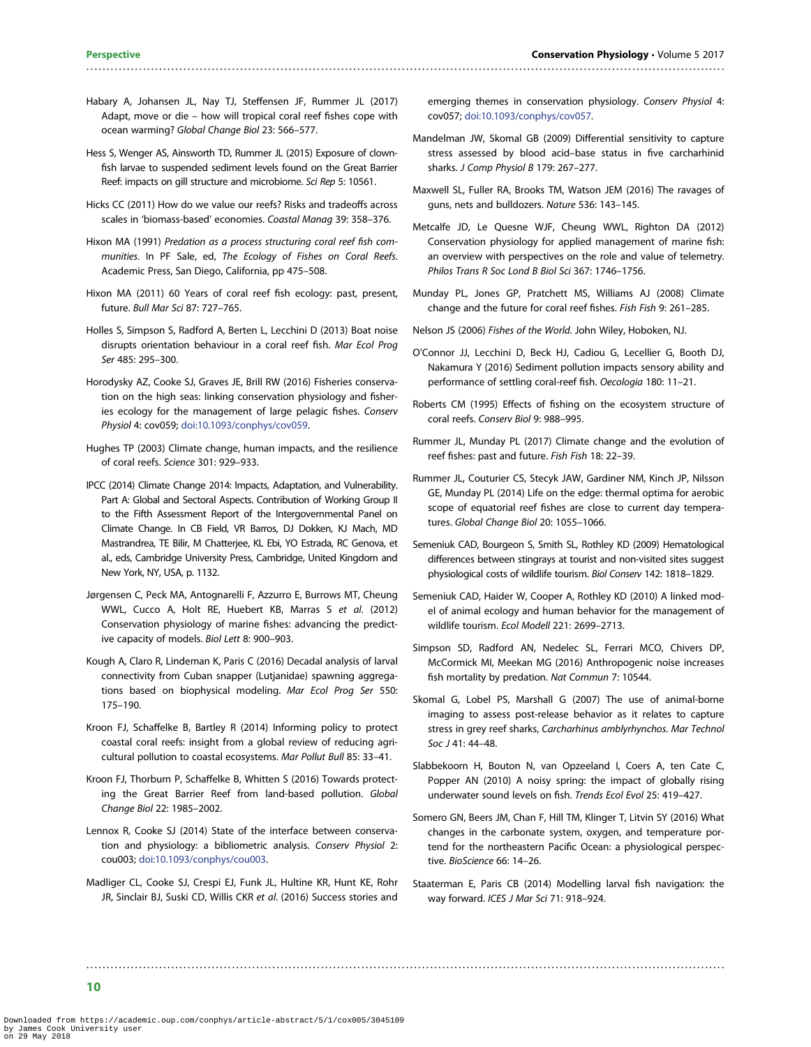- <span id="page-9-0"></span>Habary A, Johansen JL, Nay TJ, Steffensen JF, Rummer JL (2017) Adapt, move or die – how will tropical coral reef fishes cope with ocean warming? Global Change Biol 23: 566–577.
- Hess S, Wenger AS, Ainsworth TD, Rummer JL (2015) Exposure of clownfish larvae to suspended sediment levels found on the Great Barrier Reef: impacts on gill structure and microbiome. Sci Rep 5: 10561.
- Hicks CC (2011) How do we value our reefs? Risks and tradeoffs across scales in 'biomass-based' economies. Coastal Manag 39: 358–376.
- Hixon MA (1991) Predation as a process structuring coral reef fish communities. In PF Sale, ed, The Ecology of Fishes on Coral Reefs. Academic Press, San Diego, California, pp 475–508.
- Hixon MA (2011) 60 Years of coral reef fish ecology: past, present, future. Bull Mar Sci 87: 727–765.
- Holles S, Simpson S, Radford A, Berten L, Lecchini D (2013) Boat noise disrupts orientation behaviour in a coral reef fish. Mar Ecol Prog Ser 485: 295–300.
- Horodysky AZ, Cooke SJ, Graves JE, Brill RW (2016) Fisheries conservation on the high seas: linking conservation physiology and fisheries ecology for the management of large pelagic fishes. Conserv Physiol 4: cov059; [doi:10.1093/conphys/cov059](http://dx.doi.org/10.1093/conphys/cov059).
- Hughes TP (2003) Climate change, human impacts, and the resilience of coral reefs. Science 301: 929–933.
- IPCC (2014) Climate Change 2014: Impacts, Adaptation, and Vulnerability. Part A: Global and Sectoral Aspects. Contribution of Working Group II to the Fifth Assessment Report of the Intergovernmental Panel on Climate Change. In CB Field, VR Barros, DJ Dokken, KJ Mach, MD Mastrandrea, TE Bilir, M Chatterjee, KL Ebi, YO Estrada, RC Genova, et al., eds, Cambridge University Press, Cambridge, United Kingdom and New York, NY, USA, p. 1132.
- Jørgensen C, Peck MA, Antognarelli F, Azzurro E, Burrows MT, Cheung WWL, Cucco A, Holt RE, Huebert KB, Marras S et al. (2012) Conservation physiology of marine fishes: advancing the predictive capacity of models. Biol Lett 8: 900–903.
- Kough A, Claro R, Lindeman K, Paris C (2016) Decadal analysis of larval connectivity from Cuban snapper (Lutjanidae) spawning aggregations based on biophysical modeling. Mar Ecol Prog Ser 550: 175–190.
- Kroon FJ, Schaffelke B, Bartley R (2014) Informing policy to protect coastal coral reefs: insight from a global review of reducing agricultural pollution to coastal ecosystems. Mar Pollut Bull 85: 33–41.
- Kroon FJ, Thorburn P, Schaffelke B, Whitten S (2016) Towards protecting the Great Barrier Reef from land-based pollution. Global Change Biol 22: 1985–2002.
- Lennox R, Cooke SJ (2014) State of the interface between conservation and physiology: a bibliometric analysis. Conserv Physiol 2: cou003; [doi:10.1093/conphys/cou003.](http://dx.doi.org/10.1093/conphys/cou003)
- Madliger CL, Cooke SJ, Crespi EJ, Funk JL, Hultine KR, Hunt KE, Rohr JR, Sinclair BJ, Suski CD, Willis CKR et al. (2016) Success stories and

..............................................................................................................................................................

emerging themes in conservation physiology. Conserv Physiol 4: cov057; [doi:10.1093/conphys/cov057.](http://dx.doi.org/10.1093/conphys/cov057)

- Mandelman JW, Skomal GB (2009) Differential sensitivity to capture stress assessed by blood acid–base status in five carcharhinid sharks. J Comp Physiol B 179: 267–277.
- Maxwell SL, Fuller RA, Brooks TM, Watson JEM (2016) The ravages of guns, nets and bulldozers. Nature 536: 143–145.
- Metcalfe JD, Le Quesne WJF, Cheung WWL, Righton DA (2012) Conservation physiology for applied management of marine fish: an overview with perspectives on the role and value of telemetry. Philos Trans R Soc Lond B Biol Sci 367: 1746–1756.
- Munday PL, Jones GP, Pratchett MS, Williams AJ (2008) Climate change and the future for coral reef fishes. Fish Fish 9: 261–285.
- Nelson JS (2006) Fishes of the World. John Wiley, Hoboken, NJ.
- O'Connor JJ, Lecchini D, Beck HJ, Cadiou G, Lecellier G, Booth DJ, Nakamura Y (2016) Sediment pollution impacts sensory ability and performance of settling coral-reef fish. Oecologia 180: 11–21.
- Roberts CM (1995) Effects of fishing on the ecosystem structure of coral reefs. Conserv Biol 9: 988–995.
- Rummer JL, Munday PL (2017) Climate change and the evolution of reef fishes: past and future. Fish Fish 18: 22–39.
- Rummer JL, Couturier CS, Stecyk JAW, Gardiner NM, Kinch JP, Nilsson GE, Munday PL (2014) Life on the edge: thermal optima for aerobic scope of equatorial reef fishes are close to current day temperatures. Global Change Biol 20: 1055–1066.
- Semeniuk CAD, Bourgeon S, Smith SL, Rothley KD (2009) Hematological differences between stingrays at tourist and non-visited sites suggest physiological costs of wildlife tourism. Biol Conserv 142: 1818–1829.
- Semeniuk CAD, Haider W, Cooper A, Rothley KD (2010) A linked model of animal ecology and human behavior for the management of wildlife tourism. Ecol Modell 221: 2699–2713.
- Simpson SD, Radford AN, Nedelec SL, Ferrari MCO, Chivers DP, McCormick MI, Meekan MG (2016) Anthropogenic noise increases fish mortality by predation. Nat Commun 7: 10544.
- Skomal G, Lobel PS, Marshall G (2007) The use of animal-borne imaging to assess post-release behavior as it relates to capture stress in grey reef sharks, Carcharhinus amblyrhynchos. Mar Technol Soc J 41: 44–48.
- Slabbekoorn H, Bouton N, van Opzeeland I, Coers A, ten Cate C, Popper AN (2010) A noisy spring: the impact of globally rising underwater sound levels on fish. Trends Ecol Evol 25: 419–427.
- Somero GN, Beers JM, Chan F, Hill TM, Klinger T, Litvin SY (2016) What changes in the carbonate system, oxygen, and temperature portend for the northeastern Pacific Ocean: a physiological perspective. BioScience 66: 14–26.
- Staaterman E, Paris CB (2014) Modelling larval fish navigation: the way forward. ICES J Mar Sci 71: 918–924.

10